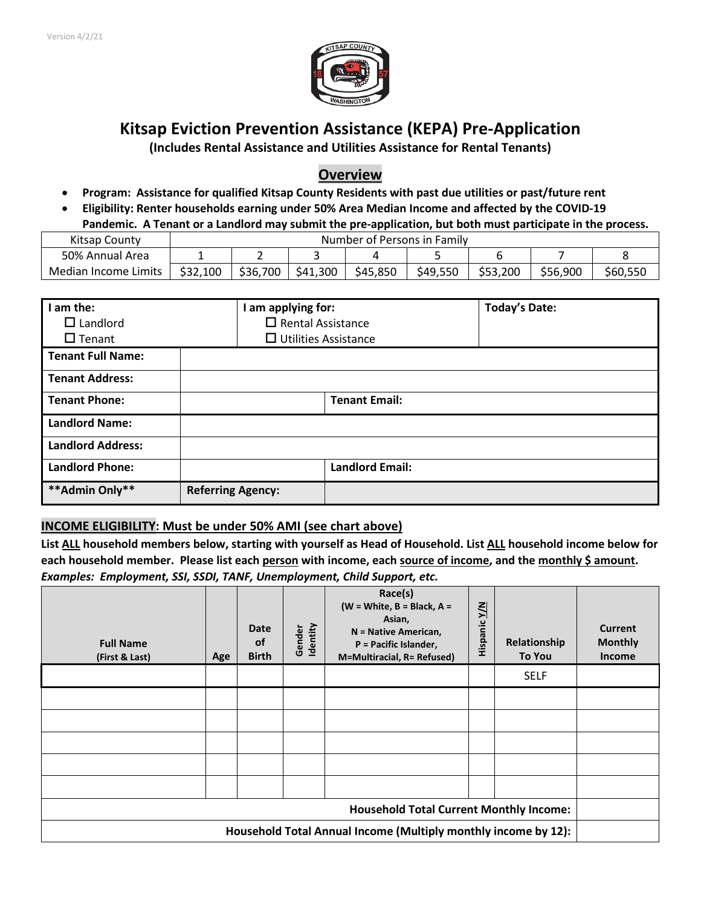

# **Kitsap Eviction Prevention Assistance (KEPA) Pre-Application**

**(Includes Rental Assistance and Utilities Assistance for Rental Tenants)**

# **Overview**

- **Program: Assistance for qualified Kitsap County Residents with past due utilities or past/future rent**
- **Eligibility: Renter households earning under 50% Area Median Income and affected by the COVID-19 Pandemic. A Tenant or a Landlord may submit the pre-application, but both must participate in the process.**

| Kitsap County        | Number of Persons in Family |          |          |          |          |          |          |          |
|----------------------|-----------------------------|----------|----------|----------|----------|----------|----------|----------|
| 50% Annual Area      |                             | -        |          |          |          |          |          |          |
| Median Income Limits | \$32,100                    | \$36,700 | \$41,300 | \$45,850 | \$49,550 | \$53,200 | \$56,900 | \$60,550 |

| I am the:<br>$\Box$ Landlord<br>$\Box$ Tenant | I am applying for:<br>$\Box$ Rental Assistance | $\Box$ Utilities Assistance | <b>Today's Date:</b> |
|-----------------------------------------------|------------------------------------------------|-----------------------------|----------------------|
| <b>Tenant Full Name:</b>                      |                                                |                             |                      |
| <b>Tenant Address:</b>                        |                                                |                             |                      |
| <b>Tenant Phone:</b>                          |                                                | <b>Tenant Email:</b>        |                      |
| <b>Landlord Name:</b>                         |                                                |                             |                      |
| <b>Landlord Address:</b>                      |                                                |                             |                      |
| <b>Landlord Phone:</b>                        |                                                | <b>Landlord Email:</b>      |                      |
| **Admin Only**                                | <b>Referring Agency:</b>                       |                             |                      |

## **INCOME ELIGIBILITY: Must be under 50% AMI (see chart above)**

**List ALL household members below, starting with yourself as Head of Household. List ALL household income below for each household member. Please list each person with income, each source of income, and the monthly \$ amount.**  *Examples: Employment, SSI, SSDI, TANF, Unemployment, Child Support, etc.*

| <b>Full Name</b><br>(First & Last)                             | Age | <b>Date</b><br><b>of</b><br><b>Birth</b> | Identity<br>Gender | Race(s)<br>(W = White, $B = Black, A =$<br>Asian,<br>N = Native American,<br>P = Pacific Islander,<br>M=Multiracial, R= Refused) | <b>Hispanic Y/N</b> | Relationship<br><b>To You</b> | <b>Current</b><br><b>Monthly</b><br>Income |
|----------------------------------------------------------------|-----|------------------------------------------|--------------------|----------------------------------------------------------------------------------------------------------------------------------|---------------------|-------------------------------|--------------------------------------------|
|                                                                |     |                                          |                    |                                                                                                                                  |                     | <b>SELF</b>                   |                                            |
|                                                                |     |                                          |                    |                                                                                                                                  |                     |                               |                                            |
|                                                                |     |                                          |                    |                                                                                                                                  |                     |                               |                                            |
|                                                                |     |                                          |                    |                                                                                                                                  |                     |                               |                                            |
|                                                                |     |                                          |                    |                                                                                                                                  |                     |                               |                                            |
|                                                                |     |                                          |                    |                                                                                                                                  |                     |                               |                                            |
| <b>Household Total Current Monthly Income:</b>                 |     |                                          |                    |                                                                                                                                  |                     |                               |                                            |
| Household Total Annual Income (Multiply monthly income by 12): |     |                                          |                    |                                                                                                                                  |                     |                               |                                            |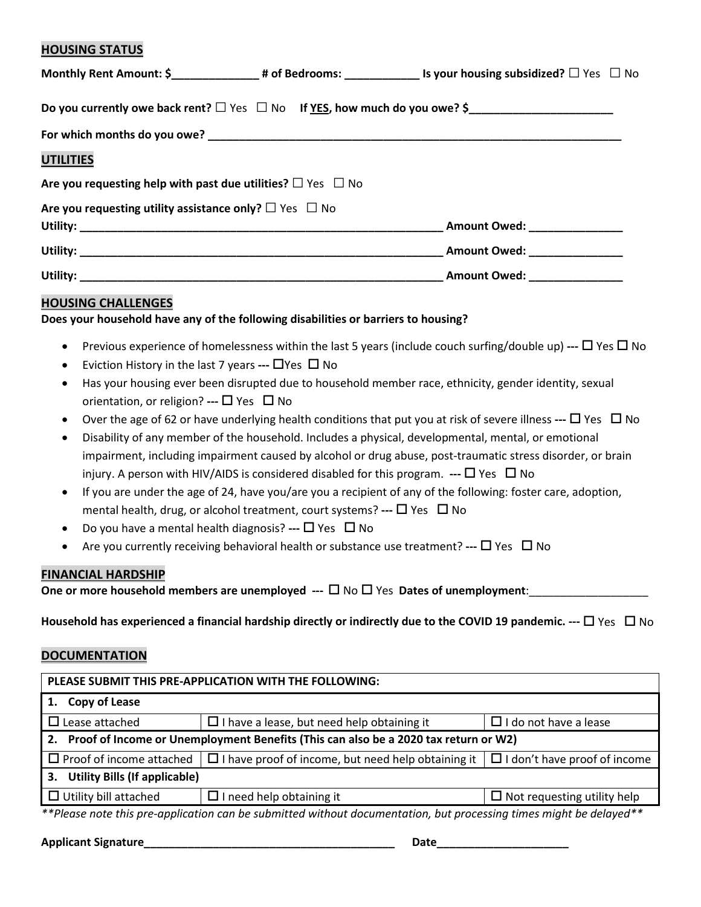### **HOUSING STATUS**

|                                                                        | Monthly Rent Amount: \$_____________________# of Bedrooms: ________________________ Is your housing subsidized? $\Box$ Yes $\Box$ No |
|------------------------------------------------------------------------|--------------------------------------------------------------------------------------------------------------------------------------|
|                                                                        | Do you currently owe back rent? $\Box$ Yes $\Box$ No If YES, how much do you owe? \$                                                 |
|                                                                        |                                                                                                                                      |
| <b>UTILITIES</b>                                                       |                                                                                                                                      |
| Are you requesting help with past due utilities? $\Box$ Yes $\Box$ No  |                                                                                                                                      |
| Are you requesting utility assistance only? $\square$ Yes $\square$ No |                                                                                                                                      |
|                                                                        | _Amount Owed: _______________                                                                                                        |
|                                                                        |                                                                                                                                      |
|                                                                        |                                                                                                                                      |

### **HOUSING CHALLENGES**

**Does your household have any of the following disabilities or barriers to housing?** 

- Previous experience of homelessness within the last 5 years (include couch surfing/double up) **---** Yes No
- Eviction History in the last 7 years  $\blacksquare$  Yes  $\square$  No
- Has your housing ever been disrupted due to household member race, ethnicity, gender identity, sexual orientation, or religion? --- □ Yes □ No
- Over the age of 62 or have underlying health conditions that put you at risk of severe illness  $\blacksquare$  Yes  $\square$  No
- Disability of any member of the household. Includes a physical, developmental, mental, or emotional impairment, including impairment caused by alcohol or drug abuse, post-traumatic stress disorder, or brain injury. A person with HIV/AIDS is considered disabled for this program.  $\cdot\cdot\cdot$   $\Box$  Yes  $\Box$  No
- If you are under the age of 24, have you/are you a recipient of any of the following: foster care, adoption, mental health, drug, or alcohol treatment, court systems? --- □ Yes □ No
- Do you have a mental health diagnosis? --- □ Yes □ No
- Are you currently receiving behavioral health or substance use treatment? **---** Yes No

#### **FINANCIAL HARDSHIP**

**One or more household members are unemployed ---**  $\Box$  **No**  $\Box$  **Yes Dates of unemployment:** 

**Household has experienced a financial hardship directly or indirectly due to the COVID 19 pandemic. ---** Yes No

#### **DOCUMENTATION**

| PLEASE SUBMIT THIS PRE-APPLICATION WITH THE FOLLOWING:                                                                     |                                                                                   |                                     |  |  |  |  |
|----------------------------------------------------------------------------------------------------------------------------|-----------------------------------------------------------------------------------|-------------------------------------|--|--|--|--|
| 1. Copy of Lease                                                                                                           |                                                                                   |                                     |  |  |  |  |
| $\Box$ Lease attached                                                                                                      | $\Box$ I do not have a lease<br>$\Box$ I have a lease, but need help obtaining it |                                     |  |  |  |  |
| 2. Proof of Income or Unemployment Benefits (This can also be a 2020 tax return or W2)                                     |                                                                                   |                                     |  |  |  |  |
| $\Box$ Proof of income attached                                                                                            | $\Box$ I have proof of income, but need help obtaining it                         | $\Box$ I don't have proof of income |  |  |  |  |
| <b>Utility Bills (If applicable)</b><br>3.                                                                                 |                                                                                   |                                     |  |  |  |  |
| $\Box$ Utility bill attached                                                                                               | $\Box$ I need help obtaining it                                                   | $\Box$ Not requesting utility help  |  |  |  |  |
| $***$ Dlages note this are anglication can be submitted without desumentation, but are esseing times might be delayed $**$ |                                                                                   |                                     |  |  |  |  |

*\*\*Please note this pre-application can be submitted without documentation, but processing times might be delayed\*\**

#### **Applicant Signature\_\_\_\_\_\_\_\_\_\_\_\_\_\_\_\_\_\_\_\_\_\_\_\_\_\_\_\_\_\_\_\_\_\_\_\_\_\_\_\_ Date\_\_\_\_\_\_\_\_\_\_\_\_\_\_\_\_\_\_\_\_\_**